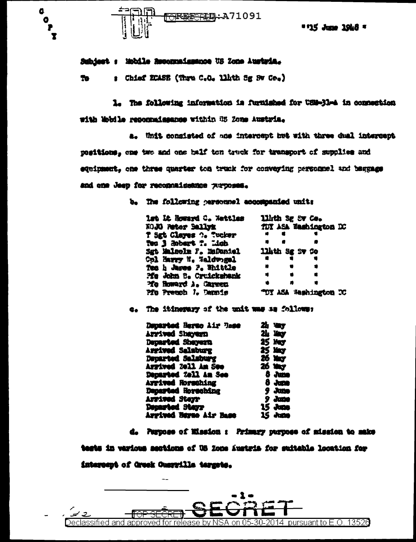

a

 $\bullet$ 

P  $\mathbf x$  \* 115 June 1948 \*

## Subject : Mobile Resourcissance US Zone Austria.

: Chief ECASE (Thru C.O. llbth Sg Sw Co.) 70

1. The following information is furnished for USM-31-A in connection with Wohile reported teaches within US Zone Austria.

a. Unit consisted of ane intercept het with three dual intercent positions, one two and one half ton truck for transport of supplies and eduinment. one three quarter ton truck for convering personnel and beggage and one Jeep for reconcilisation withoses.

b. The following gerscunel accommenied units

| let Lt Soward C. Wettles | Lith Sg Sv Co.        |  |
|--------------------------|-----------------------|--|
| KOJO Peter Sallyk        | TDY ASA Washington DC |  |
| T Sgt Clayes ?. Tucker   |                       |  |
| doin' it subsets for the |                       |  |
| Sgt Malcolm F. MoDaniel  | 11hth Sg Sv Co        |  |
| Col Marry N. Waldward    |                       |  |
| Tec h Japes P. Whittle   | *<br>$\bullet$        |  |
| Me John B. Cruickshank   | $\blacksquare$        |  |
| Ye Howard A. Carnett     | n                     |  |
| Pfu Preuch J. Dennis     | TOY ASA Weshington TC |  |

e. The itinerary of the unit was as follows:

2h ver Departed Nergo Air 7:00 Arrived Shavern 21: 127 **25 May** Departed Shevern 25 May Arrived Salaburg Departed Salaburg Arrived 2011 Am Seo 26 Way Departed %011 Am See 8 June Arrived Norsching  $8 - 3$ Departed Horsching  $9.3$ une Arrived Sterr 9 June 15 June Departed Stayr **15 June** Arrived Herse Air Rase

d. Purpose of Mission : Primary purpose of mission to make

tests in various sections of US Zone Austria for suitable location for

intercept of Greek Cusryille tergets.

 $\overline{\phantom{a}}$ 

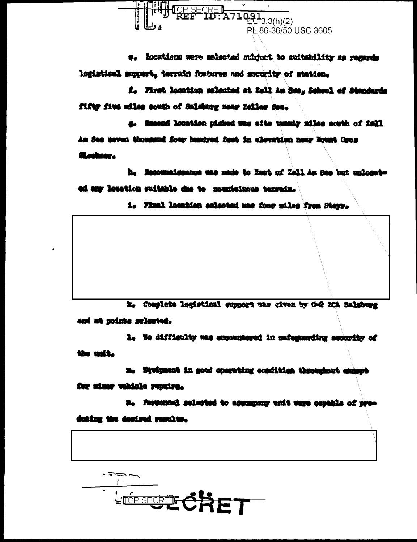

e. Locations were selected subject to suitability as regards logistical support, terrain fratures and sucurity of station.

f. First location selected at Zell Am See, School of Standards fifty five miles south of Salskary near Zellaw Sec.

g. Second location picked was site twenty miles south of 2011 An See seven thousand four hundred feet in elevation near Nount Gros Clothan.

h. Recounsissance was made to East of Zall Am See but unlocated any location suitable due to mountainous terrain.

i. Final location selected was four miles from Sterr.

k. Complete logistical support was given by G-2 ICA Salaburg and at points selected.

1. Ne difficulty was encountered in mateguarding security of the unit.

n. Equipment in good operating condition throughout emment

for minny vehicle renairs.

a. Personal selected to appropany with were capable of produsing the desired results.